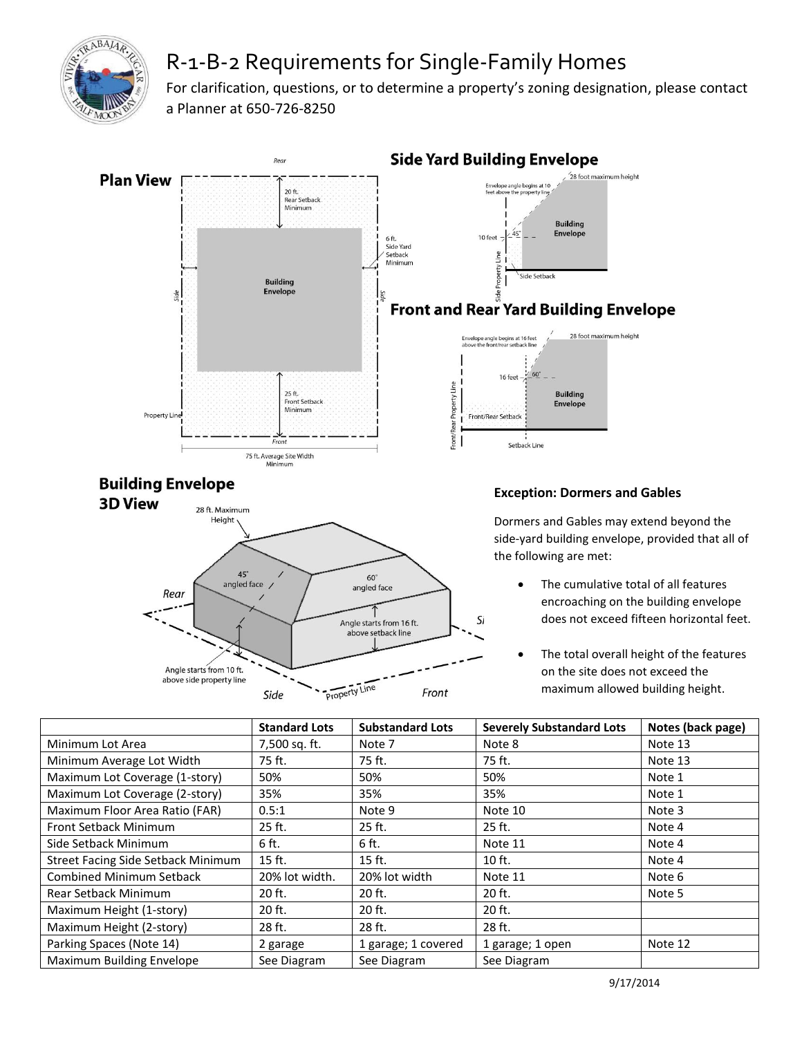

## R-1-B-2 Requirements for Single-Family Homes

For clarification, questions, or to determine a property's zoning designation, please contact a Planner at 650-726-8250



|                                    | <b>Standard Lots</b> | <b>Substandard Lots</b> | <b>Severely Substandard Lots</b> | Notes (back page) |
|------------------------------------|----------------------|-------------------------|----------------------------------|-------------------|
| Minimum Lot Area                   | 7,500 sq. ft.        | Note 7                  | Note 8                           | Note 13           |
| Minimum Average Lot Width          | 75 ft.               | 75 ft.                  | 75 ft.                           | Note 13           |
| Maximum Lot Coverage (1-story)     | 50%                  | 50%                     | 50%                              | Note 1            |
| Maximum Lot Coverage (2-story)     | 35%                  | 35%                     | 35%                              | Note 1            |
| Maximum Floor Area Ratio (FAR)     | 0.5:1                | Note 9                  | Note 10                          | Note 3            |
| Front Setback Minimum              | 25 ft.               | 25 ft.                  | 25 ft.                           | Note 4            |
| Side Setback Minimum               | 6 ft.                | 6 ft.                   | Note 11                          | Note 4            |
| Street Facing Side Setback Minimum | 15 ft.               | $15$ ft.                | $10$ ft.                         | Note 4            |
| <b>Combined Minimum Setback</b>    | 20% lot width.       | 20% lot width           | Note 11                          | Note 6            |
| <b>Rear Setback Minimum</b>        | 20 ft.               | 20 ft.                  | 20 ft.                           | Note 5            |
| Maximum Height (1-story)           | 20 ft.               | 20 ft.                  | 20 ft.                           |                   |
| Maximum Height (2-story)           | 28 ft.               | 28 ft.                  | 28 ft.                           |                   |
| Parking Spaces (Note 14)           | 2 garage             | 1 garage; 1 covered     | 1 garage; 1 open                 | Note 12           |
| Maximum Building Envelope          | See Diagram          | See Diagram             | See Diagram                      |                   |